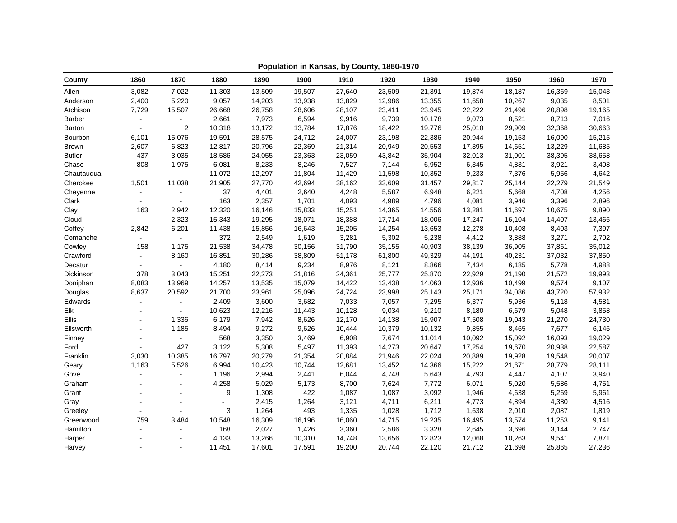| County        | 1860           | 1870           | 1880   | 1890   | 1900   | 1910   | 1920   | 1930   | 1940   | 1950   | 1960   | 1970   |
|---------------|----------------|----------------|--------|--------|--------|--------|--------|--------|--------|--------|--------|--------|
| Allen         | 3,082          | 7,022          | 11,303 | 13,509 | 19,507 | 27,640 | 23,509 | 21,391 | 19,874 | 18,187 | 16,369 | 15,043 |
| Anderson      | 2,400          | 5,220          | 9,057  | 14,203 | 13,938 | 13,829 | 12,986 | 13,355 | 11,658 | 10,267 | 9,035  | 8,501  |
| Atchison      | 7,729          | 15,507         | 26,668 | 26,758 | 28,606 | 28,107 | 23,411 | 23,945 | 22,222 | 21,496 | 20,898 | 19,165 |
| <b>Barber</b> |                | $\blacksquare$ | 2,661  | 7,973  | 6,594  | 9,916  | 9,739  | 10,178 | 9,073  | 8,521  | 8,713  | 7,016  |
| Barton        |                | 2              | 10,318 | 13,172 | 13,784 | 17,876 | 18,422 | 19,776 | 25,010 | 29,909 | 32,368 | 30,663 |
| Bourbon       | 6,101          | 15,076         | 19,591 | 28,575 | 24,712 | 24,007 | 23,198 | 22,386 | 20,944 | 19,153 | 16,090 | 15,215 |
| Brown         | 2,607          | 6,823          | 12,817 | 20,796 | 22,369 | 21,314 | 20,949 | 20,553 | 17,395 | 14,651 | 13,229 | 11,685 |
| <b>Butler</b> | 437            | 3,035          | 18,586 | 24,055 | 23,363 | 23,059 | 43,842 | 35,904 | 32,013 | 31,001 | 38,395 | 38,658 |
| Chase         | 808            | 1,975          | 6,081  | 8,233  | 8,246  | 7,527  | 7,144  | 6,952  | 6,345  | 4,831  | 3,921  | 3,408  |
| Chautauqua    | $\sim$         | $\overline{a}$ | 11,072 | 12,297 | 11,804 | 11,429 | 11,598 | 10,352 | 9,233  | 7,376  | 5,956  | 4,642  |
| Cherokee      | 1,501          | 11,038         | 21,905 | 27,770 | 42,694 | 38,162 | 33,609 | 31,457 | 29,817 | 25,144 | 22,279 | 21,549 |
| Cheyenne      | $\blacksquare$ | $\blacksquare$ | 37     | 4,401  | 2,640  | 4,248  | 5,587  | 6,948  | 6,221  | 5,668  | 4,708  | 4,256  |
| Clark         | $\sim$         | $\sim$         | 163    | 2,357  | 1,701  | 4,093  | 4,989  | 4,796  | 4,081  | 3,946  | 3,396  | 2,896  |
| Clay          | 163            | 2,942          | 12,320 | 16,146 | 15,833 | 15,251 | 14,365 | 14,556 | 13,281 | 11,697 | 10,675 | 9,890  |
| Cloud         |                | 2,323          | 15,343 | 19,295 | 18,071 | 18,388 | 17,714 | 18,006 | 17,247 | 16,104 | 14,407 | 13,466 |
| Coffey        | 2,842          | 6,201          | 11,438 | 15,856 | 16,643 | 15,205 | 14,254 | 13,653 | 12,278 | 10,408 | 8,403  | 7,397  |
| Comanche      | $\omega$       | $\sim$         | 372    | 2,549  | 1,619  | 3,281  | 5,302  | 5,238  | 4,412  | 3,888  | 3,271  | 2,702  |
| Cowley        | 158            | 1,175          | 21,538 | 34,478 | 30,156 | 31,790 | 35,155 | 40,903 | 38,139 | 36,905 | 37,861 | 35,012 |
| Crawford      | $\blacksquare$ | 8,160          | 16,851 | 30,286 | 38,809 | 51,178 | 61,800 | 49,329 | 44,191 | 40,231 | 37,032 | 37,850 |
| Decatur       | $\sim$         | $\sim$         | 4,180  | 8,414  | 9,234  | 8,976  | 8,121  | 8,866  | 7,434  | 6,185  | 5,778  | 4,988  |
| Dickinson     | 378            | 3,043          | 15,251 | 22,273 | 21,816 | 24,361 | 25,777 | 25,870 | 22,929 | 21,190 | 21,572 | 19,993 |
| Doniphan      | 8,083          | 13,969         | 14,257 | 13,535 | 15,079 | 14,422 | 13,438 | 14,063 | 12,936 | 10,499 | 9,574  | 9,107  |
| Douglas       | 8,637          | 20,592         | 21,700 | 23,961 | 25,096 | 24,724 | 23,998 | 25,143 | 25,171 | 34,086 | 43,720 | 57,932 |
| Edwards       |                | $\sim$         | 2,409  | 3,600  | 3,682  | 7,033  | 7,057  | 7,295  | 6,377  | 5,936  | 5,118  | 4,581  |
| Elk           |                |                | 10,623 | 12,216 | 11,443 | 10,128 | 9,034  | 9,210  | 8,180  | 6,679  | 5,048  | 3,858  |
| Ellis         |                | 1,336          | 6,179  | 7,942  | 8,626  | 12,170 | 14,138 | 15,907 | 17,508 | 19,043 | 21,270 | 24,730 |
| Ellsworth     | $\blacksquare$ | 1,185          | 8,494  | 9,272  | 9,626  | 10,444 | 10,379 | 10,132 | 9,855  | 8,465  | 7,677  | 6,146  |
| Finney        | $\sim$         | $\omega$       | 568    | 3,350  | 3,469  | 6,908  | 7,674  | 11,014 | 10,092 | 15,092 | 16,093 | 19,029 |
| Ford          |                | 427            | 3,122  | 5,308  | 5,497  | 11,393 | 14,273 | 20,647 | 17,254 | 19,670 | 20,938 | 22,587 |
| Franklin      | 3,030          | 10,385         | 16,797 | 20,279 | 21,354 | 20,884 | 21,946 | 22,024 | 20,889 | 19,928 | 19,548 | 20,007 |
| Geary         | 1,163          | 5,526          | 6,994  | 10,423 | 10,744 | 12,681 | 13,452 | 14,366 | 15,222 | 21,671 | 28,779 | 28,111 |
| Gove          |                | $\sim$         | 1,196  | 2,994  | 2,441  | 6,044  | 4,748  | 5,643  | 4,793  | 4,447  | 4,107  | 3,940  |
| Graham        | $\sim$         | $\sim$         | 4,258  | 5,029  | 5,173  | 8,700  | 7,624  | 7,772  | 6,071  | 5,020  | 5,586  | 4,751  |
| Grant         |                |                | 9      | 1,308  | 422    | 1,087  | 1,087  | 3,092  | 1,946  | 4,638  | 5,269  | 5,961  |
| Gray          |                |                |        | 2,415  | 1,264  | 3,121  | 4,711  | 6,211  | 4,773  | 4,894  | 4,380  | 4,516  |
| Greeley       |                |                | 3      | 1,264  | 493    | 1,335  | 1,028  | 1,712  | 1,638  | 2,010  | 2,087  | 1,819  |
| Greenwood     | 759            | 3,484          | 10,548 | 16,309 | 16,196 | 16,060 | 14,715 | 19,235 | 16,495 | 13,574 | 11,253 | 9,141  |
| Hamilton      | $\sim$         | $\blacksquare$ | 168    | 2,027  | 1,426  | 3,360  | 2,586  | 3,328  | 2,645  | 3,696  | 3,144  | 2,747  |
| Harper        |                |                | 4,133  | 13,266 | 10,310 | 14,748 | 13,656 | 12,823 | 12,068 | 10,263 | 9,541  | 7,871  |
| Harvey        |                |                | 11,451 | 17,601 | 17,591 | 19,200 | 20,744 | 22,120 | 21,712 | 21,698 | 25,865 | 27,236 |

**Population in Kansas, by County, 1860-1970**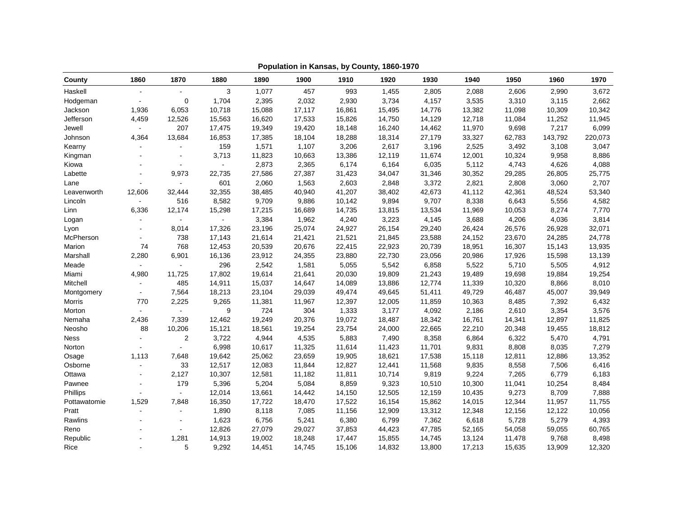| County       | 1860           | 1870           | 1880           | 1890   | 1900   | 1910   | 1920   | 1930   | 1940   | 1950   | 1960    | 1970    |
|--------------|----------------|----------------|----------------|--------|--------|--------|--------|--------|--------|--------|---------|---------|
| Haskell      |                | $\mathbf{u}$   | 3              | 1,077  | 457    | 993    | 1,455  | 2,805  | 2,088  | 2,606  | 2,990   | 3,672   |
| Hodgeman     | $\sim$         | 0              | 1,704          | 2,395  | 2,032  | 2,930  | 3,734  | 4,157  | 3,535  | 3,310  | 3,115   | 2,662   |
| Jackson      | 1,936          | 6,053          | 10,718         | 15,088 | 17,117 | 16,861 | 15,495 | 14,776 | 13,382 | 11,098 | 10,309  | 10,342  |
| Jefferson    | 4,459          | 12,526         | 15,563         | 16,620 | 17,533 | 15,826 | 14,750 | 14,129 | 12,718 | 11,084 | 11,252  | 11,945  |
| Jewell       |                | 207            | 17,475         | 19,349 | 19,420 | 18,148 | 16,240 | 14,462 | 11,970 | 9,698  | 7,217   | 6,099   |
| Johnson      | 4,364          | 13,684         | 16,853         | 17,385 | 18,104 | 18,288 | 18,314 | 27,179 | 33,327 | 62,783 | 143,792 | 220,073 |
| Kearny       |                | $\blacksquare$ | 159            | 1,571  | 1,107  | 3,206  | 2,617  | 3,196  | 2,525  | 3,492  | 3,108   | 3,047   |
| Kingman      |                |                | 3,713          | 11,823 | 10,663 | 13,386 | 12,119 | 11,674 | 12,001 | 10,324 | 9,958   | 8,886   |
| Kiowa        |                | $\sim$         | $\blacksquare$ | 2,873  | 2,365  | 6,174  | 6,164  | 6,035  | 5,112  | 4,743  | 4,626   | 4,088   |
| Labette      |                | 9,973          | 22,735         | 27,586 | 27,387 | 31,423 | 34,047 | 31,346 | 30,352 | 29,285 | 26,805  | 25,775  |
| Lane         |                | $\sim$         | 601            | 2,060  | 1,563  | 2,603  | 2,848  | 3,372  | 2,821  | 2,808  | 3,060   | 2,707   |
| Leavenworth  | 12,606         | 32,444         | 32,355         | 38,485 | 40,940 | 41,207 | 38,402 | 42,673 | 41,112 | 42,361 | 48,524  | 53,340  |
| Lincoln      |                | 516            | 8,582          | 9,709  | 9,886  | 10,142 | 9,894  | 9,707  | 8,338  | 6,643  | 5,556   | 4,582   |
| Linn         | 6,336          | 12,174         | 15,298         | 17,215 | 16,689 | 14,735 | 13,815 | 13,534 | 11,969 | 10,053 | 8,274   | 7,770   |
| Logan        |                |                |                | 3,384  | 1,962  | 4,240  | 3,223  | 4,145  | 3,688  | 4,206  | 4,036   | 3,814   |
| Lyon         |                | 8,014          | 17,326         | 23,196 | 25,074 | 24,927 | 26,154 | 29,240 | 26,424 | 26,576 | 26,928  | 32,071  |
| McPherson    |                | 738            | 17,143         | 21,614 | 21,421 | 21,521 | 21,845 | 23,588 | 24,152 | 23,670 | 24,285  | 24,778  |
| Marion       | 74             | 768            | 12,453         | 20,539 | 20,676 | 22,415 | 22,923 | 20,739 | 18,951 | 16,307 | 15,143  | 13,935  |
| Marshall     | 2,280          | 6,901          | 16,136         | 23,912 | 24,355 | 23,880 | 22,730 | 23,056 | 20,986 | 17,926 | 15,598  | 13,139  |
| Meade        |                |                | 296            | 2,542  | 1,581  | 5,055  | 5,542  | 6,858  | 5,522  | 5,710  | 5,505   | 4,912   |
| Miami        | 4,980          | 11,725         | 17,802         | 19,614 | 21,641 | 20,030 | 19,809 | 21,243 | 19,489 | 19,698 | 19,884  | 19,254  |
| Mitchell     |                | 485            | 14,911         | 15,037 | 14,647 | 14,089 | 13,886 | 12,774 | 11,339 | 10,320 | 8,866   | 8,010   |
| Montgomery   | $\blacksquare$ | 7,564          | 18,213         | 23,104 | 29,039 | 49,474 | 49,645 | 51,411 | 49,729 | 46,487 | 45,007  | 39,949  |
| Morris       | 770            | 2,225          | 9,265          | 11,381 | 11,967 | 12,397 | 12,005 | 11,859 | 10,363 | 8,485  | 7,392   | 6,432   |
| Morton       |                |                | 9              | 724    | 304    | 1,333  | 3,177  | 4,092  | 2,186  | 2,610  | 3,354   | 3,576   |
| Nemaha       | 2,436          | 7,339          | 12,462         | 19,249 | 20,376 | 19,072 | 18,487 | 18,342 | 16,761 | 14,341 | 12,897  | 11,825  |
| Neosho       | 88             | 10,206         | 15,121         | 18,561 | 19,254 | 23,754 | 24,000 | 22,665 | 22,210 | 20,348 | 19,455  | 18,812  |
| <b>Ness</b>  | $\sim$         | 2              | 3,722          | 4,944  | 4,535  | 5,883  | 7,490  | 8,358  | 6,864  | 6,322  | 5,470   | 4,791   |
| Norton       |                |                | 6,998          | 10,617 | 11,325 | 11,614 | 11,423 | 11,701 | 9,831  | 8,808  | 8,035   | 7,279   |
| Osage        | 1,113          | 7,648          | 19,642         | 25,062 | 23,659 | 19,905 | 18,621 | 17,538 | 15,118 | 12,811 | 12,886  | 13,352  |
| Osborne      |                | 33             | 12,517         | 12,083 | 11,844 | 12,827 | 12,441 | 11,568 | 9,835  | 8,558  | 7,506   | 6,416   |
| Ottawa       | $\sim$         | 2,127          | 10,307         | 12,581 | 11,182 | 11,811 | 10,714 | 9,819  | 9,224  | 7,265  | 6,779   | 6,183   |
| Pawnee       | $\blacksquare$ | 179            | 5,396          | 5,204  | 5,084  | 8,859  | 9,323  | 10,510 | 10,300 | 11,041 | 10,254  | 8,484   |
| Phillips     |                | $\blacksquare$ | 12,014         | 13,661 | 14,442 | 14,150 | 12,505 | 12,159 | 10,435 | 9,273  | 8,709   | 7,888   |
| Pottawatomie | 1,529          | 7,848          | 16,350         | 17,722 | 18,470 | 17,522 | 16,154 | 15,862 | 14,015 | 12,344 | 11,957  | 11,755  |
| Pratt        |                |                | 1,890          | 8,118  | 7,085  | 11,156 | 12,909 | 13,312 | 12,348 | 12,156 | 12,122  | 10,056  |
| Rawlins      |                |                | 1,623          | 6,756  | 5,241  | 6,380  | 6,799  | 7,362  | 6,618  | 5,728  | 5,279   | 4,393   |
| Reno         |                | $\sim$         | 12,826         | 27,079 | 29,027 | 37,853 | 44,423 | 47,785 | 52,165 | 54,058 | 59,055  | 60,765  |
| Republic     |                | 1,281          | 14,913         | 19,002 | 18,248 | 17,447 | 15,855 | 14,745 | 13,124 | 11,478 | 9,768   | 8,498   |
| Rice         |                | 5              | 9,292          | 14,451 | 14,745 | 15,106 | 14,832 | 13,800 | 17,213 | 15,635 | 13,909  | 12,320  |

**Population in Kansas, by County, 1860-1970**